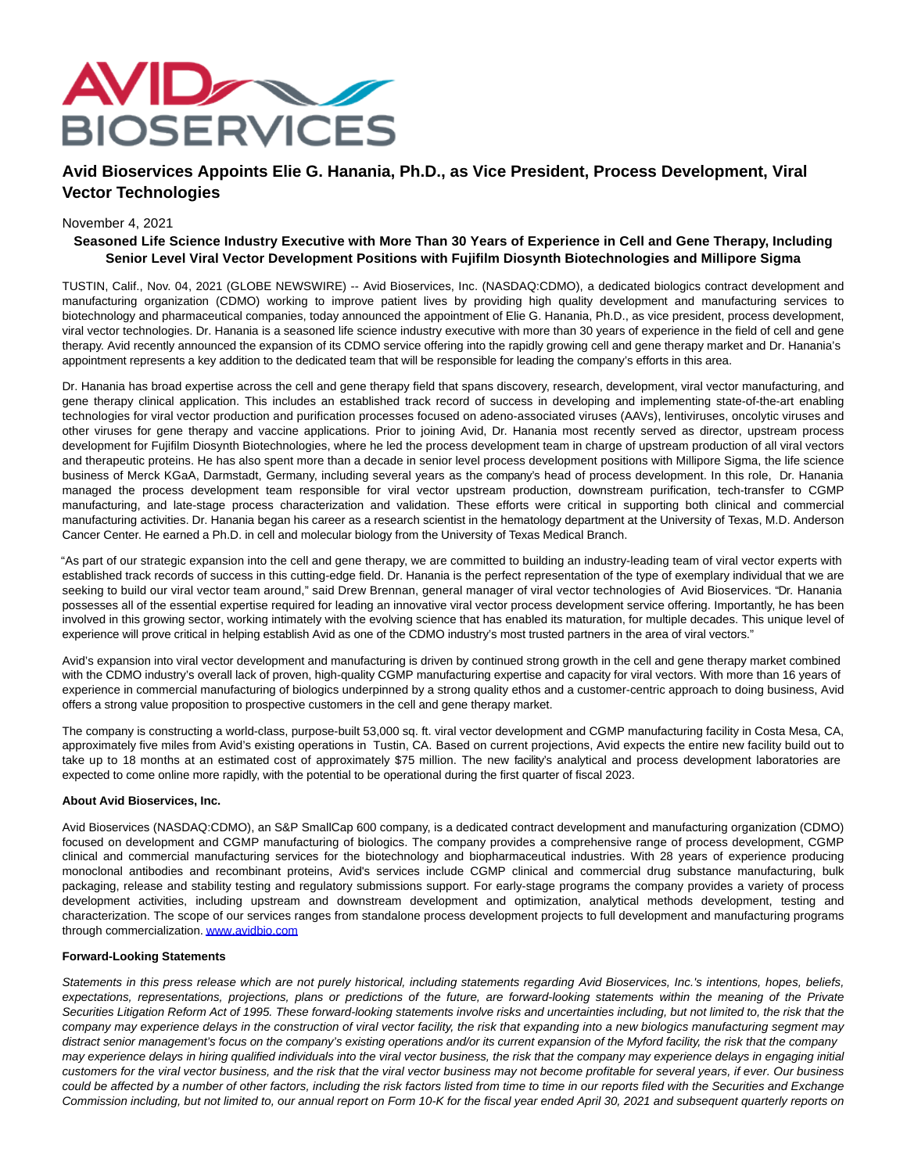

# **Avid Bioservices Appoints Elie G. Hanania, Ph.D., as Vice President, Process Development, Viral Vector Technologies**

### November 4, 2021

## **Seasoned Life Science Industry Executive with More Than 30 Years of Experience in Cell and Gene Therapy, Including Senior Level Viral Vector Development Positions with Fujifilm Diosynth Biotechnologies and Millipore Sigma**

TUSTIN, Calif., Nov. 04, 2021 (GLOBE NEWSWIRE) -- Avid Bioservices, Inc. (NASDAQ:CDMO), a dedicated biologics contract development and manufacturing organization (CDMO) working to improve patient lives by providing high quality development and manufacturing services to biotechnology and pharmaceutical companies, today announced the appointment of Elie G. Hanania, Ph.D., as vice president, process development, viral vector technologies. Dr. Hanania is a seasoned life science industry executive with more than 30 years of experience in the field of cell and gene therapy. Avid recently announced the expansion of its CDMO service offering into the rapidly growing cell and gene therapy market and Dr. Hanania's appointment represents a key addition to the dedicated team that will be responsible for leading the company's efforts in this area.

Dr. Hanania has broad expertise across the cell and gene therapy field that spans discovery, research, development, viral vector manufacturing, and gene therapy clinical application. This includes an established track record of success in developing and implementing state-of-the-art enabling technologies for viral vector production and purification processes focused on adeno-associated viruses (AAVs), lentiviruses, oncolytic viruses and other viruses for gene therapy and vaccine applications. Prior to joining Avid, Dr. Hanania most recently served as director, upstream process development for Fujifilm Diosynth Biotechnologies, where he led the process development team in charge of upstream production of all viral vectors and therapeutic proteins. He has also spent more than a decade in senior level process development positions with Millipore Sigma, the life science business of Merck KGaA, Darmstadt, Germany, including several years as the company's head of process development. In this role, Dr. Hanania managed the process development team responsible for viral vector upstream production, downstream purification, tech-transfer to CGMP manufacturing, and late-stage process characterization and validation. These efforts were critical in supporting both clinical and commercial manufacturing activities. Dr. Hanania began his career as a research scientist in the hematology department at the University of Texas, M.D. Anderson Cancer Center. He earned a Ph.D. in cell and molecular biology from the University of Texas Medical Branch.

"As part of our strategic expansion into the cell and gene therapy, we are committed to building an industry-leading team of viral vector experts with established track records of success in this cutting-edge field. Dr. Hanania is the perfect representation of the type of exemplary individual that we are seeking to build our viral vector team around," said Drew Brennan, general manager of viral vector technologies of Avid Bioservices. "Dr. Hanania possesses all of the essential expertise required for leading an innovative viral vector process development service offering. Importantly, he has been involved in this growing sector, working intimately with the evolving science that has enabled its maturation, for multiple decades. This unique level of experience will prove critical in helping establish Avid as one of the CDMO industry's most trusted partners in the area of viral vectors."

Avid's expansion into viral vector development and manufacturing is driven by continued strong growth in the cell and gene therapy market combined with the CDMO industry's overall lack of proven, high-quality CGMP manufacturing expertise and capacity for viral vectors. With more than 16 years of experience in commercial manufacturing of biologics underpinned by a strong quality ethos and a customer-centric approach to doing business, Avid offers a strong value proposition to prospective customers in the cell and gene therapy market.

The company is constructing a world-class, purpose-built 53,000 sq. ft. viral vector development and CGMP manufacturing facility in Costa Mesa, CA, approximately five miles from Avid's existing operations in Tustin, CA. Based on current projections, Avid expects the entire new facility build out to take up to 18 months at an estimated cost of approximately \$75 million. The new facility's analytical and process development laboratories are expected to come online more rapidly, with the potential to be operational during the first quarter of fiscal 2023.

### **About Avid Bioservices, Inc.**

Avid Bioservices (NASDAQ:CDMO), an S&P SmallCap 600 company, is a dedicated contract development and manufacturing organization (CDMO) focused on development and CGMP manufacturing of biologics. The company provides a comprehensive range of process development, CGMP clinical and commercial manufacturing services for the biotechnology and biopharmaceutical industries. With 28 years of experience producing monoclonal antibodies and recombinant proteins, Avid's services include CGMP clinical and commercial drug substance manufacturing, bulk packaging, release and stability testing and regulatory submissions support. For early-stage programs the company provides a variety of process development activities, including upstream and downstream development and optimization, analytical methods development, testing and characterization. The scope of our services ranges from standalone process development projects to full development and manufacturing programs through commercialization[. www.avidbio.com](https://www.globenewswire.com/Tracker?data=3srP4bTZn6TXFqPLBSLsp_1DcKOrDJrNXg0wIGr-qCWiOxQcN58YOkbJqjwy-hQhygVIHFuW0HHpyMWpE2G6Tg==)

### **Forward-Looking Statements**

Statements in this press release which are not purely historical, including statements regarding Avid Bioservices, Inc.'s intentions, hopes, beliefs, expectations, representations, projections, plans or predictions of the future, are forward-looking statements within the meaning of the Private Securities Litigation Reform Act of 1995. These forward-looking statements involve risks and uncertainties including, but not limited to, the risk that the company may experience delays in the construction of viral vector facility, the risk that expanding into a new biologics manufacturing segment may distract senior management's focus on the company's existing operations and/or its current expansion of the Myford facility, the risk that the company may experience delays in hiring qualified individuals into the viral vector business, the risk that the company may experience delays in engaging initial customers for the viral vector business, and the risk that the viral vector business may not become profitable for several years, if ever. Our business could be affected by a number of other factors, including the risk factors listed from time to time in our reports filed with the Securities and Exchange Commission including, but not limited to, our annual report on Form 10-K for the fiscal year ended April 30, 2021 and subsequent quarterly reports on